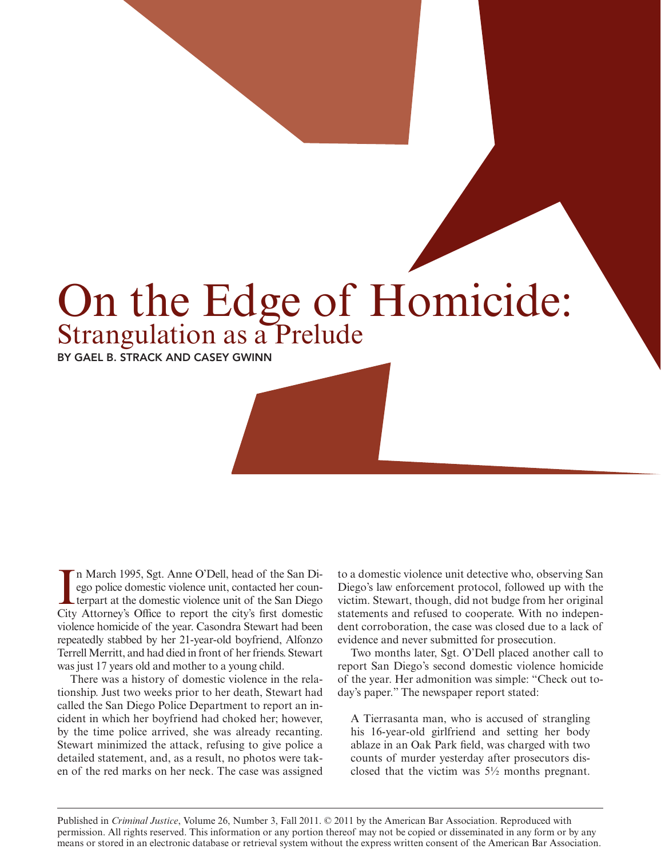## On the Edge of Homicide: Strangulation as a Prelude

BY GAEL B. STRACK and CASEY GWINN

In March 1995, Sgt. Anne O'Dell, head of the San Diego police domestic violence unit, contacted her counterpart at the domestic violence unit of the San Diego City Attorney's Office to report the city's first domestic n March 1995, Sgt. Anne O'Dell, head of the San Diego police domestic violence unit, contacted her counterpart at the domestic violence unit of the San Diego violence homicide of the year. Casondra Stewart had been repeatedly stabbed by her 21-year-old boyfriend, Alfonzo Terrell Merritt, and had died in front of her friends. Stewart was just 17 years old and mother to a young child.

There was a history of domestic violence in the relationship. Just two weeks prior to her death, Stewart had called the San Diego Police Department to report an incident in which her boyfriend had choked her; however, by the time police arrived, she was already recanting. Stewart minimized the attack, refusing to give police a detailed statement, and, as a result, no photos were taken of the red marks on her neck. The case was assigned

to a domestic violence unit detective who, observing San Diego's law enforcement protocol, followed up with the victim. Stewart, though, did not budge from her original statements and refused to cooperate. With no independent corroboration, the case was closed due to a lack of evidence and never submitted for prosecution.

Two months later, Sgt. O'Dell placed another call to report San Diego's second domestic violence homicide of the year. Her admonition was simple: "Check out today's paper." The newspaper report stated:

A Tierrasanta man, who is accused of strangling his 16-year-old girlfriend and setting her body ablaze in an Oak Park field, was charged with two counts of murder yesterday after prosecutors disclosed that the victim was 5½ months pregnant.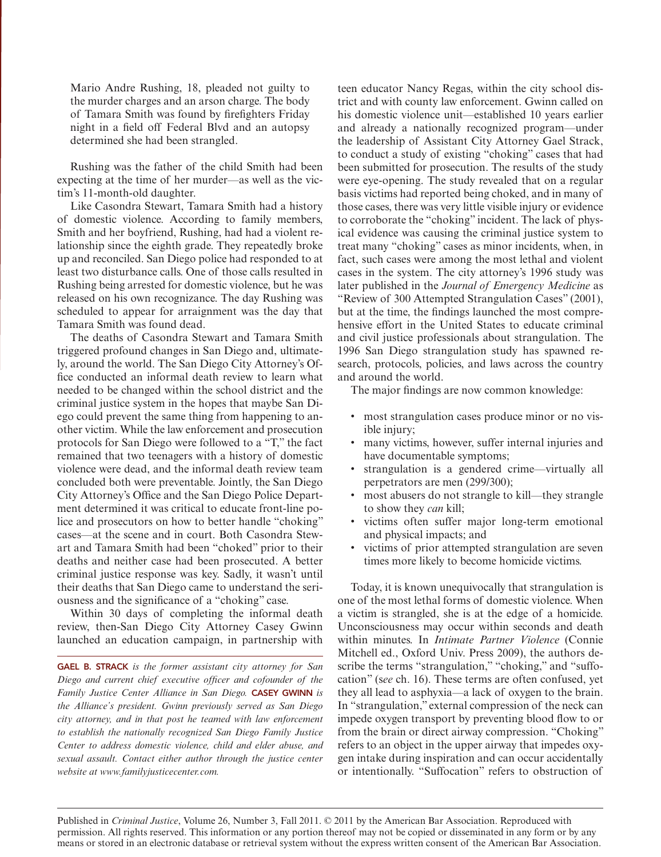Mario Andre Rushing, 18, pleaded not guilty to the murder charges and an arson charge. The body of Tamara Smith was found by firefighters Friday night in a field off Federal Blvd and an autopsy determined she had been strangled.

Rushing was the father of the child Smith had been expecting at the time of her murder—as well as the victim's 11-month-old daughter.

Like Casondra Stewart, Tamara Smith had a history of domestic violence. According to family members, Smith and her boyfriend, Rushing, had had a violent relationship since the eighth grade. They repeatedly broke up and reconciled. San Diego police had responded to at least two disturbance calls. One of those calls resulted in Rushing being arrested for domestic violence, but he was released on his own recognizance. The day Rushing was scheduled to appear for arraignment was the day that Tamara Smith was found dead.

The deaths of Casondra Stewart and Tamara Smith triggered profound changes in San Diego and, ultimately, around the world. The San Diego City Attorney's Office conducted an informal death review to learn what needed to be changed within the school district and the criminal justice system in the hopes that maybe San Diego could prevent the same thing from happening to another victim. While the law enforcement and prosecution protocols for San Diego were followed to a "T," the fact remained that two teenagers with a history of domestic violence were dead, and the informal death review team concluded both were preventable. Jointly, the San Diego City Attorney's Office and the San Diego Police Department determined it was critical to educate front-line police and prosecutors on how to better handle "choking" cases—at the scene and in court. Both Casondra Stewart and Tamara Smith had been "choked" prior to their deaths and neither case had been prosecuted. A better criminal justice response was key. Sadly, it wasn't until their deaths that San Diego came to understand the seriousness and the significance of a "choking" case.

Within 30 days of completing the informal death review, then-San Diego City Attorney Casey Gwinn launched an education campaign, in partnership with

GAEL B. STRACK *is the former assistant city attorney for San Diego and current chief executive officer and cofounder of the Family Justice Center Alliance in San Diego.* CASEY GWINN *is the Alliance's president. Gwinn previously served as San Diego city attorney, and in that post he teamed with law enforcement to establish the nationally recognized San Diego Family Justice Center to address domestic violence, child and elder abuse, and sexual assault. Contact either author through the justice center website at www.familyjusticecenter.com.* 

teen educator Nancy Regas, within the city school district and with county law enforcement. Gwinn called on his domestic violence unit—established 10 years earlier and already a nationally recognized program—under the leadership of Assistant City Attorney Gael Strack, to conduct a study of existing "choking" cases that had been submitted for prosecution. The results of the study were eye-opening. The study revealed that on a regular basis victims had reported being choked, and in many of those cases, there was very little visible injury or evidence to corroborate the "choking" incident. The lack of physical evidence was causing the criminal justice system to treat many "choking" cases as minor incidents, when, in fact, such cases were among the most lethal and violent cases in the system. The city attorney's 1996 study was later published in the *Journal of Emergency Medicine* as "Review of 300 Attempted Strangulation Cases" (2001), but at the time, the findings launched the most comprehensive effort in the United States to educate criminal and civil justice professionals about strangulation. The 1996 San Diego strangulation study has spawned research, protocols, policies, and laws across the country and around the world.

The major findings are now common knowledge:

- most strangulation cases produce minor or no visible injury;
- many victims, however, suffer internal injuries and have documentable symptoms;
- strangulation is a gendered crime—virtually all perpetrators are men (299/300);
- most abusers do not strangle to kill—they strangle to show they *can* kill;
- victims often suffer major long-term emotional and physical impacts; and
- victims of prior attempted strangulation are seven times more likely to become homicide victims.

Today, it is known unequivocally that strangulation is one of the most lethal forms of domestic violence. When a victim is strangled, she is at the edge of a homicide. Unconsciousness may occur within seconds and death within minutes. In *Intimate Partner Violence* (Connie Mitchell ed., Oxford Univ. Press 2009), the authors describe the terms "strangulation," "choking," and "suffocation" (s*ee* ch. 16). These terms are often confused, yet they all lead to asphyxia—a lack of oxygen to the brain. In "strangulation," external compression of the neck can impede oxygen transport by preventing blood flow to or from the brain or direct airway compression. "Choking" refers to an object in the upper airway that impedes oxygen intake during inspiration and can occur accidentally or intentionally. "Suffocation" refers to obstruction of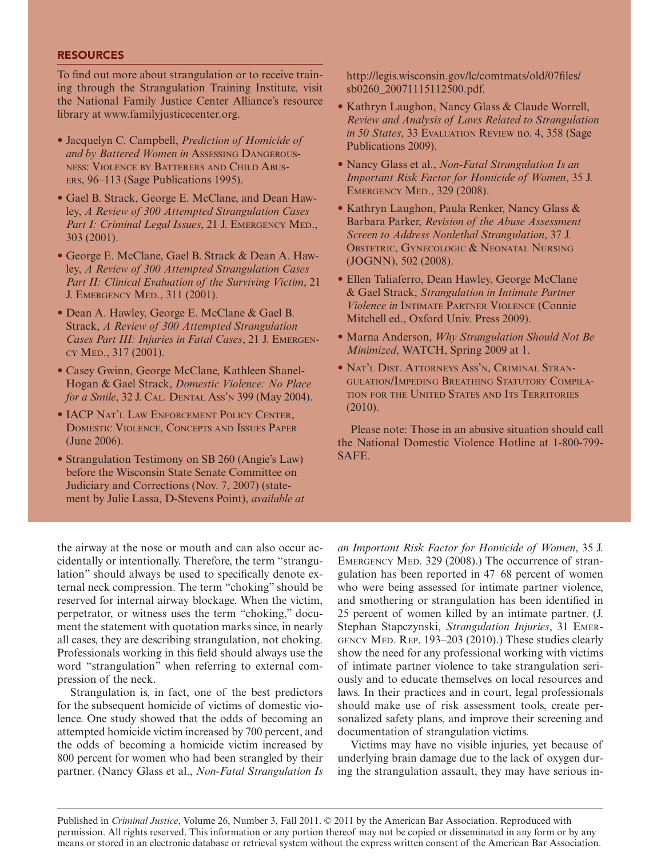## **RESOURCES**

To find out more about strangulation or to receive training through the Strangulation Training Institute, visit the National Family Justice Center Alliance's resource library at www.familyjusticecenter.org.

- • Jacquelyn C. Campbell, *Prediction of Homicide of and by Battered Women in* Assessing Dangerousness: Violence by Batterers and Child Abusers, 96–113 (Sage Publications 1995).
- Gael B. Strack, George E. McClane, and Dean Hawley, *A Review of 300 Attempted Strangulation Cases*  Part I: Criminal Legal Issues, 21 J. EMERGENCY MED., 303 (2001).
- • George E. McClane, Gael B. Strack & Dean A. Hawley, *A Review of 300 Attempted Strangulation Cases Part II: Clinical Evaluation of the Surviving Victim*, 21 J. Emergency Med., 311 (2001).
- • Dean A. Hawley, George E. McClane & Gael B. Strack, *A Review of 300 Attempted Strangulation Cases Part III: Injuries in Fatal Cases*, 21 J. Emergency Med., 317 (2001).
- • Casey Gwinn, George McClane, Kathleen Shanel-Hogan & Gael Strack, *Domestic Violence: No Place for a Smile*, 32 J. Cal. Dental Ass'n 399 (May 2004).
- IACP NAT'L LAW ENFORCEMENT POLICY CENTER. Domestic Violence, Concepts and Issues Paper (June 2006).
- Strangulation Testimony on SB 260 (Angie's Law) before the Wisconsin State Senate Committee on Judiciary and Corrections (Nov. 7, 2007) (statement by Julie Lassa, D-Stevens Point), *available at*

http://legis.wisconsin.gov/lc/comtmats/old/07files/ sb0260\_20071115112500.pdf.

- Kathryn Laughon, Nancy Glass & Claude Worrell, *Review and Analysis of Laws Related to Strangulation in 50 States*, 33 Evaluation Review no. 4, 358 (Sage Publications 2009).
- • Nancy Glass et al., *Non-Fatal Strangulation Is an Important Risk Factor for Homicide of Women*, 35 J. Emergency Med., 329 (2008).
- • Kathryn Laughon, Paula Renker, Nancy Glass & Barbara Parker, *Revision of the Abuse Assessment Screen to Address Nonlethal Strangulation*, 37 J. OBSTETRIC, GYNECOLOGIC & NEONATAL NURSING (JOGNN), 502 (2008).
- • Ellen Taliaferro, Dean Hawley, George McClane & Gael Strack, *Strangulation in Intimate Partner Violence in* Intimate Partner Violence (Connie Mitchell ed., Oxford Univ. Press 2009).
- • Marna Anderson, *Why Strangulation Should Not Be Minimized*, WATCH, Spring 2009 at 1.
- • Nat'l Dist. Attorneys Ass'n, Criminal Strangulation/Impeding Breathing Statutory Compilation for the United States and Its Territories (2010).

Please note: Those in an abusive situation should call the National Domestic Violence Hotline at 1-800-799- SAFE.

the airway at the nose or mouth and can also occur accidentally or intentionally. Therefore, the term "strangulation" should always be used to specifically denote external neck compression. The term "choking" should be reserved for internal airway blockage. When the victim, perpetrator, or witness uses the term "choking," document the statement with quotation marks since, in nearly all cases, they are describing strangulation, not choking. Professionals working in this field should always use the word "strangulation" when referring to external compression of the neck.

Strangulation is, in fact, one of the best predictors for the subsequent homicide of victims of domestic violence. One study showed that the odds of becoming an attempted homicide victim increased by 700 percent, and the odds of becoming a homicide victim increased by 800 percent for women who had been strangled by their partner. (Nancy Glass et al., *Non-Fatal Strangulation Is* 

*an Important Risk Factor for Homicide of Women*, 35 J. EMERGENCY MED. 329 (2008).) The occurrence of strangulation has been reported in 47–68 percent of women who were being assessed for intimate partner violence, and smothering or strangulation has been identified in 25 percent of women killed by an intimate partner. (J. Stephan Stapczynski, *Strangulation Injuries*, 31 Emergency Med. Rep. 193–203 (2010).) These studies clearly show the need for any professional working with victims of intimate partner violence to take strangulation seriously and to educate themselves on local resources and laws. In their practices and in court, legal professionals should make use of risk assessment tools, create personalized safety plans, and improve their screening and documentation of strangulation victims.

Victims may have no visible injuries, yet because of underlying brain damage due to the lack of oxygen during the strangulation assault, they may have serious in-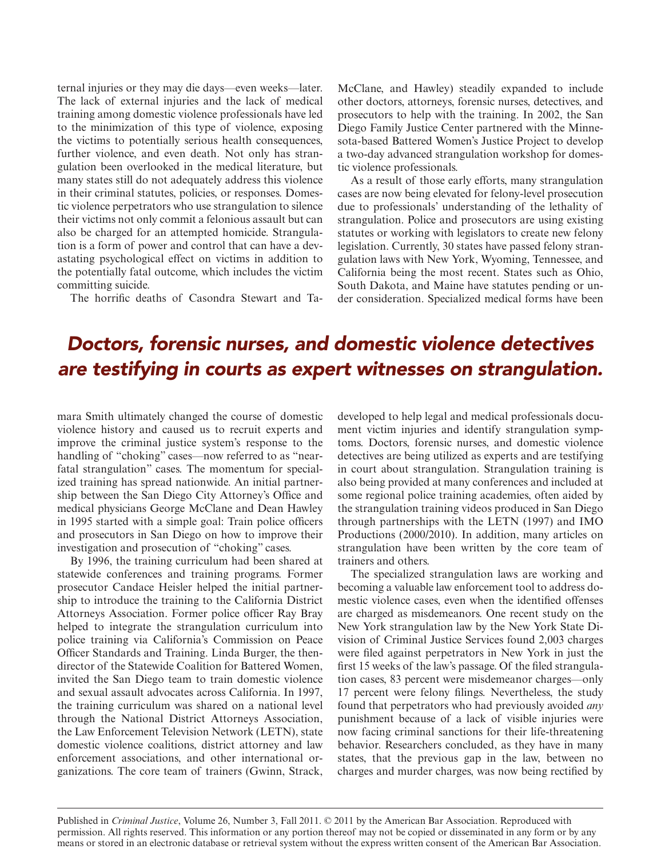ternal injuries or they may die days—even weeks—later. The lack of external injuries and the lack of medical training among domestic violence professionals have led to the minimization of this type of violence, exposing the victims to potentially serious health consequences, further violence, and even death. Not only has strangulation been overlooked in the medical literature, but many states still do not adequately address this violence in their criminal statutes, policies, or responses. Domestic violence perpetrators who use strangulation to silence their victims not only commit a felonious assault but can also be charged for an attempted homicide. Strangulation is a form of power and control that can have a devastating psychological effect on victims in addition to the potentially fatal outcome, which includes the victim committing suicide.

The horrific deaths of Casondra Stewart and Ta-

McClane, and Hawley) steadily expanded to include other doctors, attorneys, forensic nurses, detectives, and prosecutors to help with the training. In 2002, the San Diego Family Justice Center partnered with the Minnesota-based Battered Women's Justice Project to develop a two-day advanced strangulation workshop for domestic violence professionals.

As a result of those early efforts, many strangulation cases are now being elevated for felony-level prosecution due to professionals' understanding of the lethality of strangulation. Police and prosecutors are using existing statutes or working with legislators to create new felony legislation. Currently, 30 states have passed felony strangulation laws with New York, Wyoming, Tennessee, and California being the most recent. States such as Ohio, South Dakota, and Maine have statutes pending or under consideration. Specialized medical forms have been

## *Doctors, forensic nurses, and domestic violence detectives are testifying in courts as expert witnesses on strangulation.*

mara Smith ultimately changed the course of domestic violence history and caused us to recruit experts and improve the criminal justice system's response to the handling of "choking" cases—now referred to as "nearfatal strangulation" cases. The momentum for specialized training has spread nationwide. An initial partnership between the San Diego City Attorney's Office and medical physicians George McClane and Dean Hawley in 1995 started with a simple goal: Train police officers and prosecutors in San Diego on how to improve their investigation and prosecution of "choking" cases.

By 1996, the training curriculum had been shared at statewide conferences and training programs. Former prosecutor Candace Heisler helped the initial partnership to introduce the training to the California District Attorneys Association. Former police officer Ray Bray helped to integrate the strangulation curriculum into police training via California's Commission on Peace Officer Standards and Training. Linda Burger, the thendirector of the Statewide Coalition for Battered Women, invited the San Diego team to train domestic violence and sexual assault advocates across California. In 1997, the training curriculum was shared on a national level through the National District Attorneys Association, the Law Enforcement Television Network (LETN), state domestic violence coalitions, district attorney and law enforcement associations, and other international organizations. The core team of trainers (Gwinn, Strack,

developed to help legal and medical professionals document victim injuries and identify strangulation symptoms. Doctors, forensic nurses, and domestic violence detectives are being utilized as experts and are testifying in court about strangulation. Strangulation training is also being provided at many conferences and included at some regional police training academies, often aided by the strangulation training videos produced in San Diego through partnerships with the LETN (1997) and IMO Productions (2000/2010). In addition, many articles on strangulation have been written by the core team of trainers and others.

The specialized strangulation laws are working and becoming a valuable law enforcement tool to address domestic violence cases, even when the identified offenses are charged as misdemeanors. One recent study on the New York strangulation law by the New York State Division of Criminal Justice Services found 2,003 charges were filed against perpetrators in New York in just the first 15 weeks of the law's passage. Of the filed strangulation cases, 83 percent were misdemeanor charges—only 17 percent were felony filings. Nevertheless, the study found that perpetrators who had previously avoided *any* punishment because of a lack of visible injuries were now facing criminal sanctions for their life-threatening behavior. Researchers concluded, as they have in many states, that the previous gap in the law, between no charges and murder charges, was now being rectified by